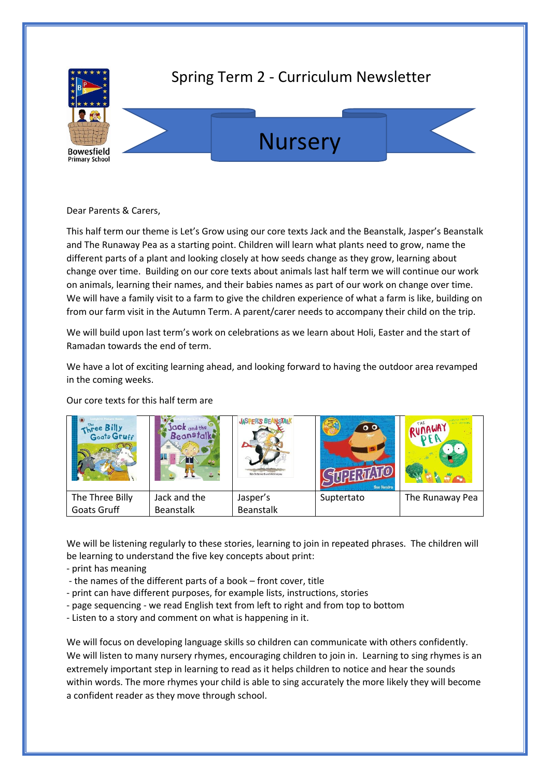

## Spring Term 2 - Curriculum Newsletter





Dear Parents & Carers,

This half term our theme is Let's Grow using our core texts Jack and the Beanstalk, Jasper's Beanstalk and The Runaway Pea as a starting point. Children will learn what plants need to grow, name the different parts of a plant and looking closely at how seeds change as they grow, learning about change over time. Building on our core texts about animals last half term we will continue our work on animals, learning their names, and their babies names as part of our work on change over time. We will have a family visit to a farm to give the children experience of what a farm is like, building on from our farm visit in the Autumn Term. A parent/carer needs to accompany their child on the trip.

We will build upon last term's work on celebrations as we learn about Holi, Easter and the start of Ramadan towards the end of term.

We have a lot of exciting learning ahead, and looking forward to having the outdoor area revamped in the coming weeks.

| Three Billy<br>Goats Gruff | ack and the<br><b>Beanstalk</b> | <b>JASPER'S BEANSTAIK</b><br>Nick Butterworth and Mick Jako- | $\circ$ $\circ$<br>Sue Hendra | <b>YAWANIN</b>  |
|----------------------------|---------------------------------|--------------------------------------------------------------|-------------------------------|-----------------|
| The Three Billy            | Jack and the                    | Jasper's                                                     | Suptertato                    | The Runaway Pea |
| Goats Gruff                | <b>Beanstalk</b>                | <b>Beanstalk</b>                                             |                               |                 |

Our core texts for this half term are

We will be listening regularly to these stories, learning to join in repeated phrases. The children will be learning to understand the five key concepts about print:

- print has meaning
- the names of the different parts of a book front cover, title
- print can have different purposes, for example lists, instructions, stories
- page sequencing we read English text from left to right and from top to bottom
- Listen to a story and comment on what is happening in it.

We will focus on developing language skills so children can communicate with others confidently. We will listen to many nursery rhymes, encouraging children to join in. Learning to sing rhymes is an extremely important step in learning to read as it helps children to notice and hear the sounds within words. The more rhymes your child is able to sing accurately the more likely they will become a confident reader as they move through school.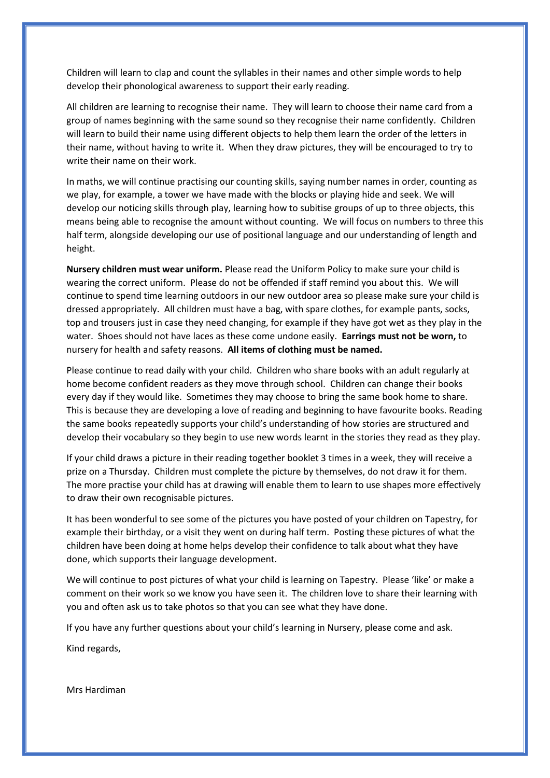Children will learn to clap and count the syllables in their names and other simple words to help develop their phonological awareness to support their early reading.

All children are learning to recognise their name. They will learn to choose their name card from a group of names beginning with the same sound so they recognise their name confidently. Children will learn to build their name using different objects to help them learn the order of the letters in their name, without having to write it. When they draw pictures, they will be encouraged to try to write their name on their work.

In maths, we will continue practising our counting skills, saying number names in order, counting as we play, for example, a tower we have made with the blocks or playing hide and seek. We will develop our noticing skills through play, learning how to subitise groups of up to three objects, this means being able to recognise the amount without counting. We will focus on numbers to three this half term, alongside developing our use of positional language and our understanding of length and height.

**Nursery children must wear uniform.** Please read the Uniform Policy to make sure your child is wearing the correct uniform. Please do not be offended if staff remind you about this. We will continue to spend time learning outdoors in our new outdoor area so please make sure your child is dressed appropriately. All children must have a bag, with spare clothes, for example pants, socks, top and trousers just in case they need changing, for example if they have got wet as they play in the water. Shoes should not have laces as these come undone easily. **Earrings must not be worn,** to nursery for health and safety reasons. **All items of clothing must be named.** 

Please continue to read daily with your child. Children who share books with an adult regularly at home become confident readers as they move through school. Children can change their books every day if they would like. Sometimes they may choose to bring the same book home to share. This is because they are developing a love of reading and beginning to have favourite books. Reading the same books repeatedly supports your child's understanding of how stories are structured and develop their vocabulary so they begin to use new words learnt in the stories they read as they play.

If your child draws a picture in their reading together booklet 3 times in a week, they will receive a prize on a Thursday. Children must complete the picture by themselves, do not draw it for them. The more practise your child has at drawing will enable them to learn to use shapes more effectively to draw their own recognisable pictures.

It has been wonderful to see some of the pictures you have posted of your children on Tapestry, for example their birthday, or a visit they went on during half term. Posting these pictures of what the children have been doing at home helps develop their confidence to talk about what they have done, which supports their language development.

We will continue to post pictures of what your child is learning on Tapestry. Please 'like' or make a comment on their work so we know you have seen it. The children love to share their learning with you and often ask us to take photos so that you can see what they have done.

If you have any further questions about your child's learning in Nursery, please come and ask.

Kind regards,

Mrs Hardiman